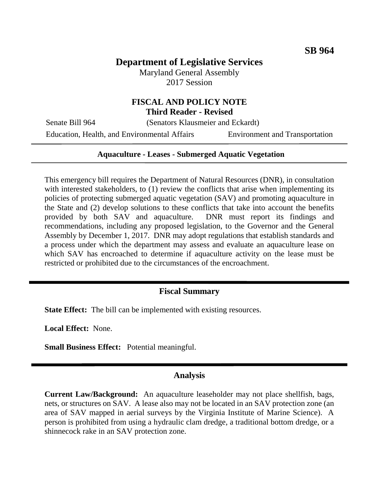## **Department of Legislative Services**

Maryland General Assembly 2017 Session

# **FISCAL AND POLICY NOTE**

**Third Reader - Revised**

Senate Bill 964 (Senators Klausmeier and Eckardt)

Education, Health, and Environmental Affairs Environment and Transportation

#### **Aquaculture - Leases - Submerged Aquatic Vegetation**

This emergency bill requires the Department of Natural Resources (DNR), in consultation with interested stakeholders, to (1) review the conflicts that arise when implementing its policies of protecting submerged aquatic vegetation (SAV) and promoting aquaculture in the State and (2) develop solutions to these conflicts that take into account the benefits provided by both SAV and aquaculture. DNR must report its findings and recommendations, including any proposed legislation, to the Governor and the General Assembly by December 1, 2017. DNR may adopt regulations that establish standards and a process under which the department may assess and evaluate an aquaculture lease on which SAV has encroached to determine if aquaculture activity on the lease must be restricted or prohibited due to the circumstances of the encroachment.

## **Fiscal Summary**

**State Effect:** The bill can be implemented with existing resources.

**Local Effect:** None.

**Small Business Effect:** Potential meaningful.

#### **Analysis**

**Current Law/Background:** An aquaculture leaseholder may not place shellfish, bags, nets, or structures on SAV. A lease also may not be located in an SAV protection zone (an area of SAV mapped in aerial surveys by the Virginia Institute of Marine Science). A person is prohibited from using a hydraulic clam dredge, a traditional bottom dredge, or a shinnecock rake in an SAV protection zone.